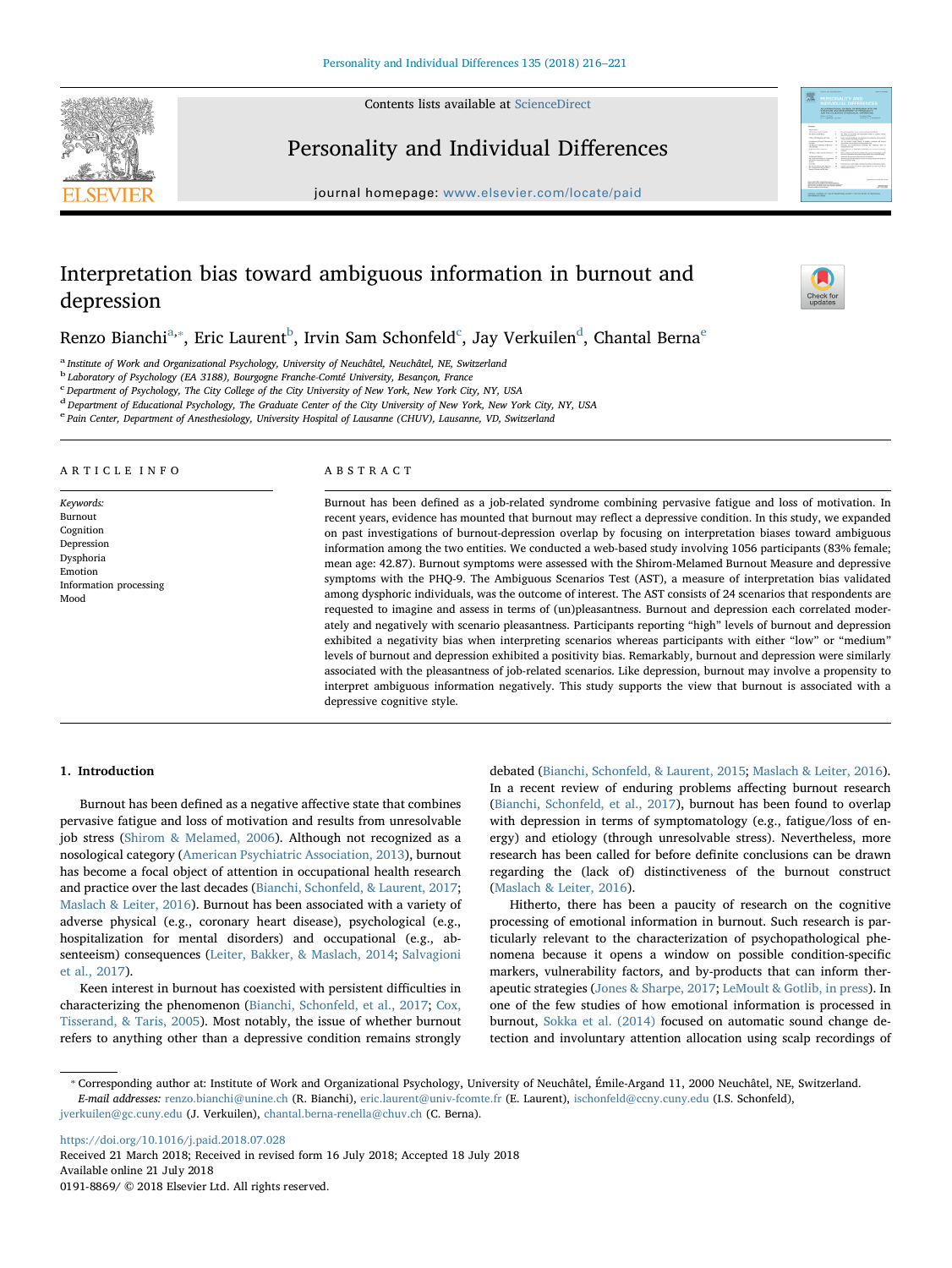Contents lists available at [ScienceDirect](http://www.sciencedirect.com/science/journal/01918869)



Personality and Individual Differences

journal homepage: [www.elsevier.com/locate/paid](https://www.elsevier.com/locate/paid)

# Interpretation bias toward ambiguous information in burnout and depression

Renzo Bian[c](#page-0-3)hi $^{\rm a, *},$  $^{\rm a, *},$  $^{\rm a, *},$  Eric Laur[e](#page-0-5)nt $^{\rm b}$  $^{\rm b}$  $^{\rm b}$ , Irvin Sam Schonfel[d](#page-0-4) $^{\rm c}$ , Jay Verkuilen $^{\rm d}$ , Chantal Berna $^{\rm e}$ 

<span id="page-0-0"></span>a Institute of Work and Organizational Psychology, University of Neuchâtel, Neuchâtel, NE, Switzerland

<span id="page-0-2"></span><sup>b</sup> Laboratory of Psychology (EA 3188), Bourgogne Franche-Comté University, Besançon, France

<span id="page-0-3"></span><sup>c</sup> Department of Psychology, The City College of the City University of New York, New York City, NY, USA

<span id="page-0-4"></span> $d$  Department of Educational Psychology, The Graduate Center of the City University of New York, New York City, NY, USA

<span id="page-0-5"></span><sup>e</sup> Pain Center, Department of Anesthesiology, University Hospital of Lausanne (CHUV), Lausanne, VD, Switzerland

## ARTICLE INFO

Keywords: Burnout Cognition Depression Dysphoria Emotion Information processing Mood

# ABSTRACT

Burnout has been defined as a job-related syndrome combining pervasive fatigue and loss of motivation. In recent years, evidence has mounted that burnout may reflect a depressive condition. In this study, we expanded on past investigations of burnout-depression overlap by focusing on interpretation biases toward ambiguous information among the two entities. We conducted a web-based study involving 1056 participants (83% female; mean age: 42.87). Burnout symptoms were assessed with the Shirom-Melamed Burnout Measure and depressive symptoms with the PHQ-9. The Ambiguous Scenarios Test (AST), a measure of interpretation bias validated among dysphoric individuals, was the outcome of interest. The AST consists of 24 scenarios that respondents are requested to imagine and assess in terms of (un)pleasantness. Burnout and depression each correlated moderately and negatively with scenario pleasantness. Participants reporting "high" levels of burnout and depression exhibited a negativity bias when interpreting scenarios whereas participants with either "low" or "medium" levels of burnout and depression exhibited a positivity bias. Remarkably, burnout and depression were similarly associated with the pleasantness of job-related scenarios. Like depression, burnout may involve a propensity to interpret ambiguous information negatively. This study supports the view that burnout is associated with a depressive cognitive style.

# 1. Introduction

Burnout has been defined as a negative affective state that combines pervasive fatigue and loss of motivation and results from unresolvable job stress ([Shirom & Melamed, 2006](#page-5-0)). Although not recognized as a nosological category ([American Psychiatric Association, 2013](#page-4-0)), burnout has become a focal object of attention in occupational health research and practice over the last decades [\(Bianchi, Schonfeld, & Laurent, 2017](#page-4-1); [Maslach & Leiter, 2016\)](#page-4-2). Burnout has been associated with a variety of adverse physical (e.g., coronary heart disease), psychological (e.g., hospitalization for mental disorders) and occupational (e.g., absenteeism) consequences ([Leiter, Bakker, & Maslach, 2014;](#page-4-3) [Salvagioni](#page-5-1) [et al., 2017](#page-5-1)).

Keen interest in burnout has coexisted with persistent difficulties in characterizing the phenomenon ([Bianchi, Schonfeld, et al., 2017](#page-4-1); [Cox,](#page-4-4) [Tisserand, & Taris, 2005](#page-4-4)). Most notably, the issue of whether burnout refers to anything other than a depressive condition remains strongly debated ([Bianchi, Schonfeld, & Laurent, 2015;](#page-4-5) [Maslach & Leiter, 2016](#page-4-2)). In a recent review of enduring problems affecting burnout research ([Bianchi, Schonfeld, et al., 2017](#page-4-1)), burnout has been found to overlap with depression in terms of symptomatology (e.g., fatigue/loss of energy) and etiology (through unresolvable stress). Nevertheless, more research has been called for before definite conclusions can be drawn regarding the (lack of) distinctiveness of the burnout construct ([Maslach & Leiter, 2016\)](#page-4-2).

Hitherto, there has been a paucity of research on the cognitive processing of emotional information in burnout. Such research is particularly relevant to the characterization of psychopathological phenomena because it opens a window on possible condition-specific markers, vulnerability factors, and by-products that can inform therapeutic strategies ([Jones & Sharpe, 2017](#page-4-6); [LeMoult & Gotlib, in press](#page-4-7)). In one of the few studies of how emotional information is processed in burnout, [Sokka et al. \(2014\)](#page-5-2) focused on automatic sound change detection and involuntary attention allocation using scalp recordings of

<https://doi.org/10.1016/j.paid.2018.07.028> Received 21 March 2018; Received in revised form 16 July 2018; Accepted 18 July 2018 Available online 21 July 2018

0191-8869/ © 2018 Elsevier Ltd. All rights reserved.



 $\frac{1}{2}$ 

<span id="page-0-1"></span><sup>⁎</sup> Corresponding author at: Institute of Work and Organizational Psychology, University of Neuchâtel, Émile-Argand 11, 2000 Neuchâtel, NE, Switzerland. E-mail addresses: [renzo.bianchi@unine.ch](mailto:renzo.bianchi@unine.ch) (R. Bianchi), [eric.laurent@univ-fcomte.fr](mailto:eric.laurent@univ-fcomte.fr) (E. Laurent), [ischonfeld@ccny.cuny.edu](mailto:ischonfeld@ccny.cuny.edu) (I.S. Schonfeld), [jverkuilen@gc.cuny.edu](mailto:jverkuilen@gc.cuny.edu) (J. Verkuilen), [chantal.berna-renella@chuv.ch](mailto:chantal.berna-renella@chuv.ch) (C. Berna).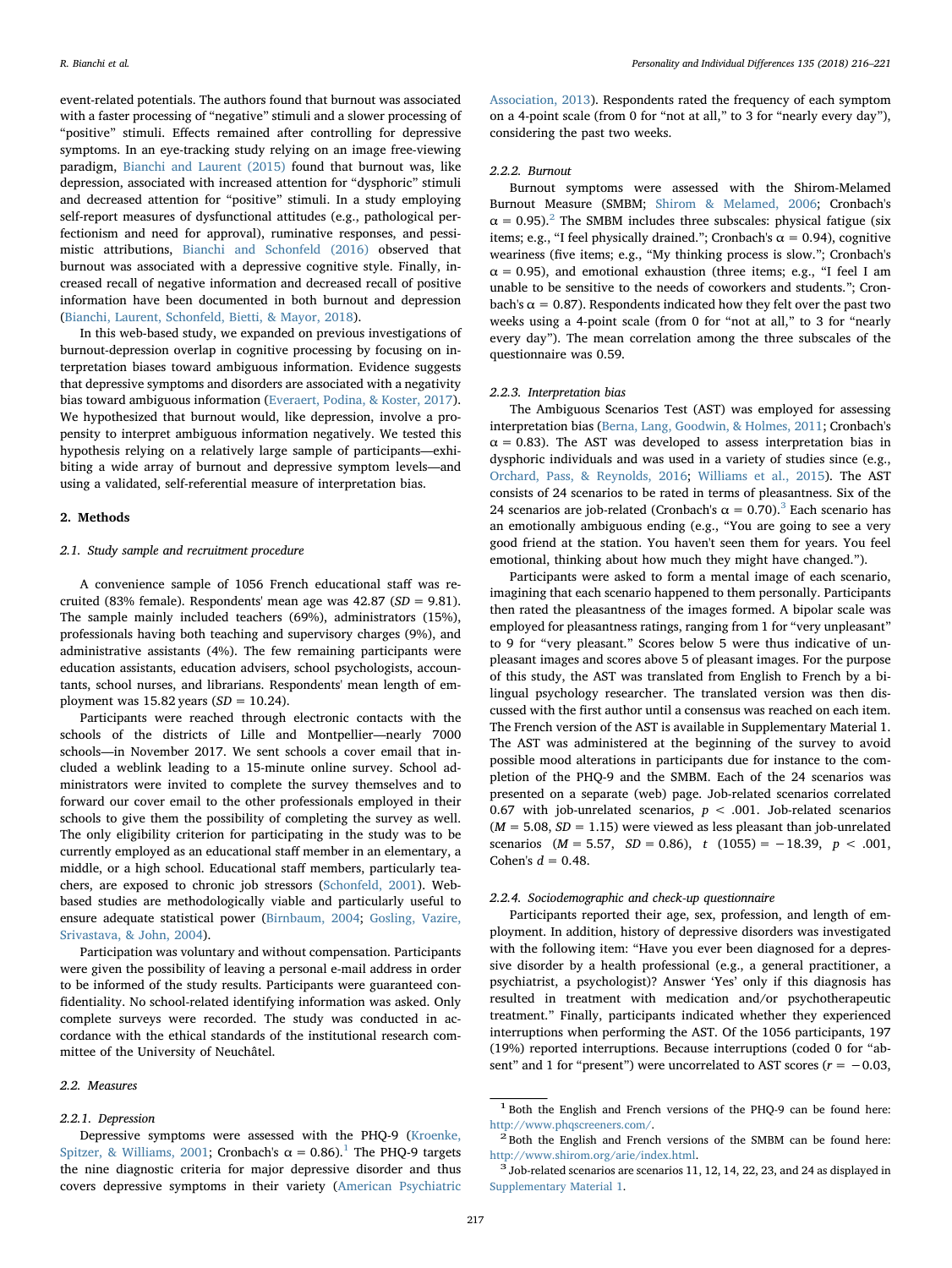event-related potentials. The authors found that burnout was associated with a faster processing of "negative" stimuli and a slower processing of "positive" stimuli. Effects remained after controlling for depressive symptoms. In an eye-tracking study relying on an image free-viewing paradigm, [Bianchi and Laurent \(2015\)](#page-4-8) found that burnout was, like depression, associated with increased attention for "dysphoric" stimuli and decreased attention for "positive" stimuli. In a study employing self-report measures of dysfunctional attitudes (e.g., pathological perfectionism and need for approval), ruminative responses, and pessimistic attributions, [Bianchi and Schonfeld \(2016\)](#page-4-9) observed that burnout was associated with a depressive cognitive style. Finally, increased recall of negative information and decreased recall of positive information have been documented in both burnout and depression ([Bianchi, Laurent, Schonfeld, Bietti, & Mayor, 2018](#page-4-10)).

In this web-based study, we expanded on previous investigations of burnout-depression overlap in cognitive processing by focusing on interpretation biases toward ambiguous information. Evidence suggests that depressive symptoms and disorders are associated with a negativity bias toward ambiguous information [\(Everaert, Podina, & Koster, 2017](#page-4-11)). We hypothesized that burnout would, like depression, involve a propensity to interpret ambiguous information negatively. We tested this hypothesis relying on a relatively large sample of participants—exhibiting a wide array of burnout and depressive symptom levels—and using a validated, self-referential measure of interpretation bias.

#### 2. Methods

### 2.1. Study sample and recruitment procedure

A convenience sample of 1056 French educational staff was recruited (83% female). Respondents' mean age was  $42.87$  (SD = 9.81). The sample mainly included teachers (69%), administrators (15%), professionals having both teaching and supervisory charges (9%), and administrative assistants (4%). The few remaining participants were education assistants, education advisers, school psychologists, accountants, school nurses, and librarians. Respondents' mean length of employment was  $15.82$  years  $(SD = 10.24)$ .

Participants were reached through electronic contacts with the schools of the districts of Lille and Montpellier—nearly 7000 schools—in November 2017. We sent schools a cover email that included a weblink leading to a 15-minute online survey. School administrators were invited to complete the survey themselves and to forward our cover email to the other professionals employed in their schools to give them the possibility of completing the survey as well. The only eligibility criterion for participating in the study was to be currently employed as an educational staff member in an elementary, a middle, or a high school. Educational staff members, particularly teachers, are exposed to chronic job stressors ([Schonfeld, 2001](#page-5-3)). Webbased studies are methodologically viable and particularly useful to ensure adequate statistical power ([Birnbaum, 2004](#page-4-12); [Gosling, Vazire,](#page-4-13) [Srivastava, & John, 2004\)](#page-4-13).

Participation was voluntary and without compensation. Participants were given the possibility of leaving a personal e-mail address in order to be informed of the study results. Participants were guaranteed confidentiality. No school-related identifying information was asked. Only complete surveys were recorded. The study was conducted in accordance with the ethical standards of the institutional research committee of the University of Neuchâtel.

## 2.2. Measures

#### 2.2.1. Depression

Depressive symptoms were assessed with the PHQ-9 [\(Kroenke,](#page-4-14) [Spitzer, & Williams, 2001;](#page-4-14) Cronbach's  $\alpha = 0.86$ ).<sup>[1](#page-1-0)</sup> The PHQ-9 targets the nine diagnostic criteria for major depressive disorder and thus covers depressive symptoms in their variety [\(American Psychiatric](#page-4-0)

[Association, 2013\)](#page-4-0). Respondents rated the frequency of each symptom on a 4-point scale (from 0 for "not at all," to 3 for "nearly every day"), considering the past two weeks.

### 2.2.2. Burnout

Burnout symptoms were assessed with the Shirom-Melamed Burnout Measure (SMBM; [Shirom & Melamed, 2006](#page-5-0); Cronbach's  $\alpha = 0.95$ ).<sup>[2](#page-1-1)</sup> The SMBM includes three subscales: physical fatigue (six items; e.g., "I feel physically drained."; Cronbach's  $\alpha = 0.94$ ), cognitive weariness (five items; e.g., "My thinking process is slow."; Cronbach's  $\alpha$  = 0.95), and emotional exhaustion (three items; e.g., "I feel I am unable to be sensitive to the needs of coworkers and students."; Cronbach's  $\alpha = 0.87$ ). Respondents indicated how they felt over the past two weeks using a 4-point scale (from 0 for "not at all," to 3 for "nearly every day"). The mean correlation among the three subscales of the questionnaire was 0.59.

## 2.2.3. Interpretation bias

The Ambiguous Scenarios Test (AST) was employed for assessing interpretation bias ([Berna, Lang, Goodwin, & Holmes, 2011](#page-4-15); Cronbach's  $\alpha$  = 0.83). The AST was developed to assess interpretation bias in dysphoric individuals and was used in a variety of studies since (e.g., [Orchard, Pass, & Reynolds, 2016](#page-5-4); [Williams et al., 2015](#page-5-5)). The AST consists of 24 scenarios to be rated in terms of pleasantness. Six of the 24 scenarios are job-related (Cronbach's  $\alpha = 0.70$ ).<sup>[3](#page-1-2)</sup> Each scenario has an emotionally ambiguous ending (e.g., "You are going to see a very good friend at the station. You haven't seen them for years. You feel emotional, thinking about how much they might have changed.").

Participants were asked to form a mental image of each scenario, imagining that each scenario happened to them personally. Participants then rated the pleasantness of the images formed. A bipolar scale was employed for pleasantness ratings, ranging from 1 for "very unpleasant" to 9 for "very pleasant." Scores below 5 were thus indicative of unpleasant images and scores above 5 of pleasant images. For the purpose of this study, the AST was translated from English to French by a bilingual psychology researcher. The translated version was then discussed with the first author until a consensus was reached on each item. The French version of the AST is available in Supplementary Material 1. The AST was administered at the beginning of the survey to avoid possible mood alterations in participants due for instance to the completion of the PHQ-9 and the SMBM. Each of the 24 scenarios was presented on a separate (web) page. Job-related scenarios correlated 0.67 with job-unrelated scenarios,  $p < .001$ . Job-related scenarios  $(M = 5.08, SD = 1.15)$  were viewed as less pleasant than job-unrelated scenarios  $(M = 5.57, SD = 0.86), t (1055) = -18.39, p < .001,$ Cohen's  $d = 0.48$ .

## 2.2.4. Sociodemographic and check-up questionnaire

Participants reported their age, sex, profession, and length of employment. In addition, history of depressive disorders was investigated with the following item: "Have you ever been diagnosed for a depressive disorder by a health professional (e.g., a general practitioner, a psychiatrist, a psychologist)? Answer 'Yes' only if this diagnosis has resulted in treatment with medication and/or psychotherapeutic treatment." Finally, participants indicated whether they experienced interruptions when performing the AST. Of the 1056 participants, 197 (19%) reported interruptions. Because interruptions (coded 0 for "absent" and 1 for "present") were uncorrelated to AST scores ( $r = -0.03$ ,

<span id="page-1-0"></span><sup>1</sup> Both the English and French versions of the PHQ-9 can be found here: [http://www.phqscreeners.com/.](http://www.phqscreeners.com/)  $2$  Both the English and French versions of the SMBM can be found here:

<span id="page-1-1"></span><http://www.shirom.org/arie/index.html>. <sup>3</sup> Job-related scenarios are scenarios 11, 12, 14, 22, 23, and 24 as displayed in

<span id="page-1-2"></span>Supplementary Material 1.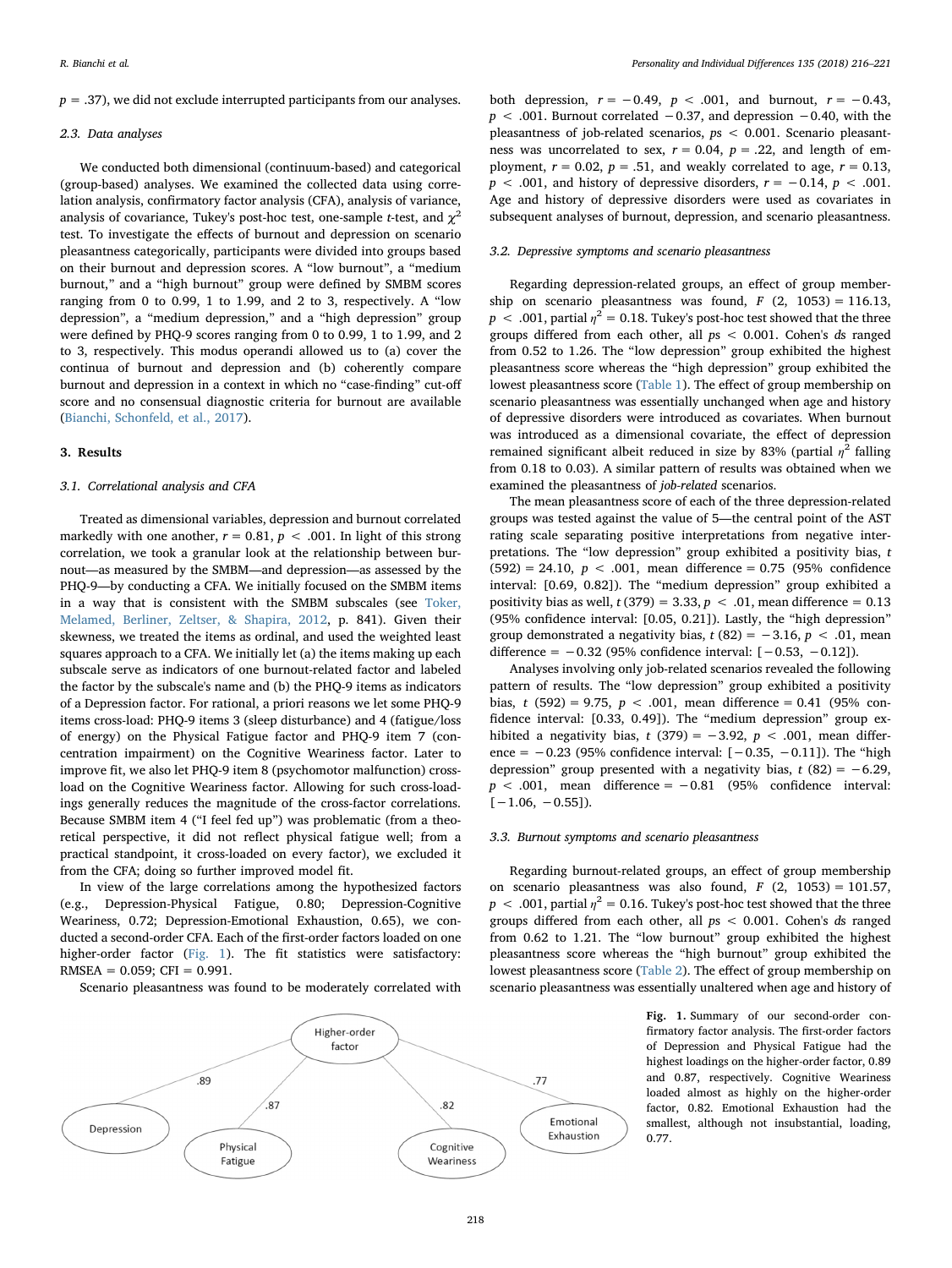$p = .37$ , we did not exclude interrupted participants from our analyses.

# 2.3. Data analyses

We conducted both dimensional (continuum-based) and categorical (group-based) analyses. We examined the collected data using correlation analysis, confirmatory factor analysis (CFA), analysis of variance, analysis of covariance, Tukey's post-hoc test, one-sample t-test, and  $\chi^2$ test. To investigate the effects of burnout and depression on scenario pleasantness categorically, participants were divided into groups based on their burnout and depression scores. A "low burnout", a "medium burnout," and a "high burnout" group were defined by SMBM scores ranging from 0 to 0.99, 1 to 1.99, and 2 to 3, respectively. A "low depression", a "medium depression," and a "high depression" group were defined by PHQ-9 scores ranging from 0 to 0.99, 1 to 1.99, and 2 to 3, respectively. This modus operandi allowed us to (a) cover the continua of burnout and depression and (b) coherently compare burnout and depression in a context in which no "case-finding" cut-off score and no consensual diagnostic criteria for burnout are available ([Bianchi, Schonfeld, et al., 2017](#page-4-1)).

# 3. Results

# 3.1. Correlational analysis and CFA

Treated as dimensional variables, depression and burnout correlated markedly with one another,  $r = 0.81$ ,  $p < .001$ . In light of this strong correlation, we took a granular look at the relationship between burnout—as measured by the SMBM—and depression—as assessed by the PHQ-9—by conducting a CFA. We initially focused on the SMBM items in a way that is consistent with the SMBM subscales (see [Toker,](#page-5-6) [Melamed, Berliner, Zeltser, & Shapira, 2012,](#page-5-6) p. 841). Given their skewness, we treated the items as ordinal, and used the weighted least squares approach to a CFA. We initially let (a) the items making up each subscale serve as indicators of one burnout-related factor and labeled the factor by the subscale's name and (b) the PHQ-9 items as indicators of a Depression factor. For rational, a priori reasons we let some PHQ-9 items cross-load: PHQ-9 items 3 (sleep disturbance) and 4 (fatigue/loss of energy) on the Physical Fatigue factor and PHQ-9 item 7 (concentration impairment) on the Cognitive Weariness factor. Later to improve fit, we also let PHQ-9 item 8 (psychomotor malfunction) crossload on the Cognitive Weariness factor. Allowing for such cross-loadings generally reduces the magnitude of the cross-factor correlations. Because SMBM item 4 ("I feel fed up") was problematic (from a theoretical perspective, it did not reflect physical fatigue well; from a practical standpoint, it cross-loaded on every factor), we excluded it from the CFA; doing so further improved model fit.

In view of the large correlations among the hypothesized factors (e.g., Depression-Physical Fatigue, 0.80; Depression-Cognitive Weariness, 0.72; Depression-Emotional Exhaustion, 0.65), we conducted a second-order CFA. Each of the first-order factors loaded on one higher-order factor ([Fig. 1\)](#page-2-0). The fit statistics were satisfactory:  $RMSEA = 0.059$ ; CFI = 0.991.

Scenario pleasantness was found to be moderately correlated with

both depression,  $r = -0.49$ ,  $p < .001$ , and burnout,  $r = -0.43$ , p < .001. Burnout correlated −0.37, and depression −0.40, with the pleasantness of job-related scenarios, ps < 0.001. Scenario pleasantness was uncorrelated to sex,  $r = 0.04$ ,  $p = .22$ , and length of employment,  $r = 0.02$ ,  $p = .51$ , and weakly correlated to age,  $r = 0.13$ ,  $p < .001$ , and history of depressive disorders,  $r = -0.14$ ,  $p < .001$ . Age and history of depressive disorders were used as covariates in subsequent analyses of burnout, depression, and scenario pleasantness.

## 3.2. Depressive symptoms and scenario pleasantness

Regarding depression-related groups, an effect of group membership on scenario pleasantness was found,  $F(2, 1053) = 116.13$ ,  $p < .001$ , partial  $n^2 = 0.18$ . Tukey's post-hoc test showed that the three groups differed from each other, all  $ps < 0.001$ . Cohen's ds ranged from 0.52 to 1.26. The "low depression" group exhibited the highest pleasantness score whereas the "high depression" group exhibited the lowest pleasantness score ([Table 1](#page-3-0)). The effect of group membership on scenario pleasantness was essentially unchanged when age and history of depressive disorders were introduced as covariates. When burnout was introduced as a dimensional covariate, the effect of depression remained significant albeit reduced in size by 83% (partial  $\eta^2$  falling from 0.18 to 0.03). A similar pattern of results was obtained when we examined the pleasantness of job-related scenarios.

The mean pleasantness score of each of the three depression-related groups was tested against the value of 5—the central point of the AST rating scale separating positive interpretations from negative interpretations. The "low depression" group exhibited a positivity bias,  $t$  $(592) = 24.10, p < .001$ , mean difference = 0.75 (95% confidence interval: [0.69, 0.82]). The "medium depression" group exhibited a positivity bias as well,  $t(379) = 3.33$ ,  $p < .01$ , mean difference = 0.13 (95% confidence interval: [0.05, 0.21]). Lastly, the "high depression" group demonstrated a negativity bias,  $t(82) = -3.16$ ,  $p < .01$ , mean difference =  $-0.32$  (95% confidence interval:  $[-0.53, -0.12]$ ).

Analyses involving only job-related scenarios revealed the following pattern of results. The "low depression" group exhibited a positivity bias, t (592) = 9.75,  $p < .001$ , mean difference = 0.41 (95% confidence interval: [0.33, 0.49]). The "medium depression" group exhibited a negativity bias, t (379) =  $-3.92$ , p < .001, mean difference =  $-0.23$  (95% confidence interval:  $[-0.35, -0.11]$ ). The "high depression" group presented with a negativity bias,  $t$  (82) =  $-6.29$ ,  $p < .001$ , mean difference = -0.81 (95% confidence interval:  $[-1.06, -0.55]$ ).

# 3.3. Burnout symptoms and scenario pleasantness

Regarding burnout-related groups, an effect of group membership on scenario pleasantness was also found,  $F(2, 1053) = 101.57$ ,  $p < .001$ , partial  $\eta^2 = 0.16$ . Tukey's post-hoc test showed that the three groups differed from each other, all ps < 0.001. Cohen's ds ranged from 0.62 to 1.21. The "low burnout" group exhibited the highest pleasantness score whereas the "high burnout" group exhibited the lowest pleasantness score ([Table 2](#page-3-1)). The effect of group membership on scenario pleasantness was essentially unaltered when age and history of

> Fig. 1. Summary of our second-order confirmatory factor analysis. The first-order factors of Depression and Physical Fatigue had the highest loadings on the higher-order factor, 0.89 and 0.87, respectively. Cognitive Weariness loaded almost as highly on the higher-order factor, 0.82. Emotional Exhaustion had the smallest, although not insubstantial, loading, 0.77.

<span id="page-2-0"></span>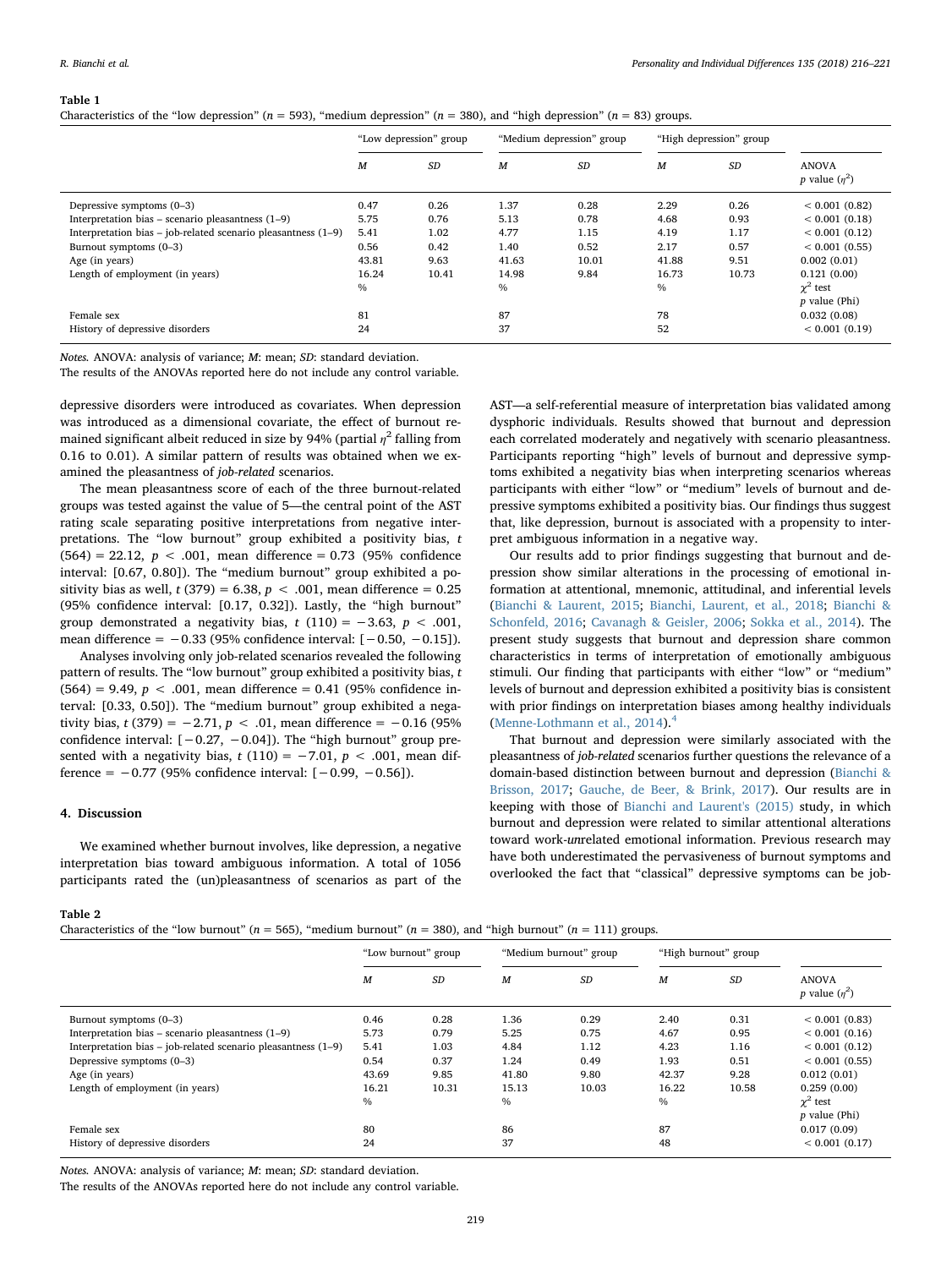#### <span id="page-3-0"></span>Table 1

| Characteristics of the "low depression" ( $n = 593$ ), "medium depression" ( $n = 380$ ), and "high depression" ( $n = 83$ ) groups. |  |  |  |  |
|--------------------------------------------------------------------------------------------------------------------------------------|--|--|--|--|
|--------------------------------------------------------------------------------------------------------------------------------------|--|--|--|--|

|                                                               | "Low depression" group |       | "Medium depression" group |       | "High depression" group |           |                                        |
|---------------------------------------------------------------|------------------------|-------|---------------------------|-------|-------------------------|-----------|----------------------------------------|
|                                                               | $\boldsymbol{M}$       | SD    | $\boldsymbol{M}$          | SD    | M                       | <b>SD</b> | <b>ANOVA</b><br><i>p</i> value $(n^2)$ |
| Depressive symptoms (0-3)                                     | 0.47                   | 0.26  | 1.37                      | 0.28  | 2.29                    | 0.26      | < 0.001(0.82)                          |
| Interpretation bias – scenario pleasantness $(1-9)$           | 5.75                   | 0.76  | 5.13                      | 0.78  | 4.68                    | 0.93      | < 0.001(0.18)                          |
| Interpretation bias – job-related scenario pleasantness (1–9) | 5.41                   | 1.02  | 4.77                      | 1.15  | 4.19                    | 1.17      | < 0.001(0.12)                          |
| Burnout symptoms (0-3)                                        | 0.56                   | 0.42  | 1.40                      | 0.52  | 2.17                    | 0.57      | < 0.001(0.55)                          |
| Age (in years)                                                | 43.81                  | 9.63  | 41.63                     | 10.01 | 41.88                   | 9.51      | 0.002(0.01)                            |
| Length of employment (in years)                               | 16.24                  | 10.41 | 14.98                     | 9.84  | 16.73                   | 10.73     | 0.121(0.00)                            |
|                                                               | $\%$                   |       | $\%$                      |       | $\%$                    |           | $\gamma^2$ test<br>$p$ value (Phi)     |
| Female sex                                                    | 81                     |       | 87                        |       | 78                      |           | 0.032(0.08)                            |
| History of depressive disorders                               | 24                     |       | 37                        |       | 52                      |           | < 0.001(0.19)                          |

Notes. ANOVA: analysis of variance; M: mean; SD: standard deviation.

The results of the ANOVAs reported here do not include any control variable.

depressive disorders were introduced as covariates. When depression was introduced as a dimensional covariate, the effect of burnout remained significant albeit reduced in size by 94% (partial  $\eta^2$  falling from 0.16 to 0.01). A similar pattern of results was obtained when we examined the pleasantness of job-related scenarios.

The mean pleasantness score of each of the three burnout-related groups was tested against the value of 5—the central point of the AST rating scale separating positive interpretations from negative interpretations. The "low burnout" group exhibited a positivity bias, t  $(564) = 22.12, p < .001, \text{ mean difference} = 0.73 (95\% \text{ confidence})$ interval: [0.67, 0.80]). The "medium burnout" group exhibited a positivity bias as well,  $t$  (379) = 6.38,  $p$  < .001, mean difference = 0.25 (95% confidence interval: [0.17, 0.32]). Lastly, the "high burnout" group demonstrated a negativity bias, t (110) =  $-3.63$ , p < .001, mean difference = −0.33 (95% confidence interval: [−0.50, −0.15]).

Analyses involving only job-related scenarios revealed the following pattern of results. The "low burnout" group exhibited a positivity bias,  $t$  $(564) = 9.49, p < .001$ , mean difference = 0.41 (95% confidence interval: [0.33, 0.50]). The "medium burnout" group exhibited a negativity bias,  $t(379) = -2.71$ ,  $p < .01$ , mean difference =  $-0.16$  (95%) confidence interval:  $[-0.27, -0.04]$ ). The "high burnout" group presented with a negativity bias,  $t(110) = -7.01$ ,  $p < .001$ , mean difference =  $-0.77$  (95% confidence interval:  $[-0.99, -0.56]$ ).

# 4. Discussion

We examined whether burnout involves, like depression, a negative interpretation bias toward ambiguous information. A total of 1056 participants rated the (un)pleasantness of scenarios as part of the

AST—a self-referential measure of interpretation bias validated among dysphoric individuals. Results showed that burnout and depression each correlated moderately and negatively with scenario pleasantness. Participants reporting "high" levels of burnout and depressive symptoms exhibited a negativity bias when interpreting scenarios whereas participants with either "low" or "medium" levels of burnout and depressive symptoms exhibited a positivity bias. Our findings thus suggest that, like depression, burnout is associated with a propensity to interpret ambiguous information in a negative way.

Our results add to prior findings suggesting that burnout and depression show similar alterations in the processing of emotional information at attentional, mnemonic, attitudinal, and inferential levels ([Bianchi & Laurent, 2015;](#page-4-8) [Bianchi, Laurent, et al., 2018;](#page-4-10) [Bianchi &](#page-4-9) [Schonfeld, 2016;](#page-4-9) [Cavanagh & Geisler, 2006](#page-4-16); [Sokka et al., 2014\)](#page-5-2). The present study suggests that burnout and depression share common characteristics in terms of interpretation of emotionally ambiguous stimuli. Our finding that participants with either "low" or "medium" levels of burnout and depression exhibited a positivity bias is consistent with prior findings on interpretation biases among healthy individuals ([Menne-Lothmann et al., 2014](#page-5-7)).<sup>[4](#page-4-17)</sup>

That burnout and depression were similarly associated with the pleasantness of job-related scenarios further questions the relevance of a domain-based distinction between burnout and depression ([Bianchi &](#page-4-18) [Brisson, 2017](#page-4-18); [Gauche, de Beer, & Brink, 2017](#page-4-19)). Our results are in keeping with those of [Bianchi and Laurent's \(2015\)](#page-4-8) study, in which burnout and depression were related to similar attentional alterations toward work-unrelated emotional information. Previous research may have both underestimated the pervasiveness of burnout symptoms and overlooked the fact that "classical" depressive symptoms can be job-

#### <span id="page-3-1"></span>Table 2

Characteristics of the "low burnout" (n = 565), "medium burnout" (n = 380), and "high burnout" (n = 111) groups.

|                                                               | "Low burnout" group |       | "Medium burnout" group |       | "High burnout" group |           |                                        |  |
|---------------------------------------------------------------|---------------------|-------|------------------------|-------|----------------------|-----------|----------------------------------------|--|
|                                                               | M                   | SD    | M                      | SD    | $\boldsymbol{M}$     | <b>SD</b> | <b>ANOVA</b><br><i>p</i> value $(n^2)$ |  |
| Burnout symptoms (0–3)                                        | 0.46                | 0.28  | 1.36                   | 0.29  | 2.40                 | 0.31      | < 0.001(0.83)                          |  |
| Interpretation bias – scenario pleasantness $(1-9)$           | 5.73                | 0.79  | 5.25                   | 0.75  | 4.67                 | 0.95      | < 0.001(0.16)                          |  |
| Interpretation bias - job-related scenario pleasantness (1-9) | 5.41                | 1.03  | 4.84                   | 1.12  | 4.23                 | 1.16      | < 0.001(0.12)                          |  |
| Depressive symptoms (0–3)                                     | 0.54                | 0.37  | 1.24                   | 0.49  | 1.93                 | 0.51      | < 0.001(0.55)                          |  |
| Age (in years)                                                | 43.69               | 9.85  | 41.80                  | 9.80  | 42.37                | 9.28      | 0.012(0.01)                            |  |
| Length of employment (in years)                               | 16.21               | 10.31 | 15.13                  | 10.03 | 16.22                | 10.58     | 0.259(0.00)                            |  |
|                                                               | $\%$                |       | $\%$                   |       | $\%$                 |           | $\gamma^2$ test                        |  |
|                                                               |                     |       |                        |       |                      |           | $p$ value (Phi)                        |  |
| Female sex                                                    | 80                  |       | 86                     |       | 87                   |           | 0.017(0.09)                            |  |
| History of depressive disorders                               | 24                  |       | 37                     |       | 48                   |           | < 0.001(0.17)                          |  |
|                                                               |                     |       |                        |       |                      |           |                                        |  |

Notes. ANOVA: analysis of variance; M: mean; SD: standard deviation.

The results of the ANOVAs reported here do not include any control variable.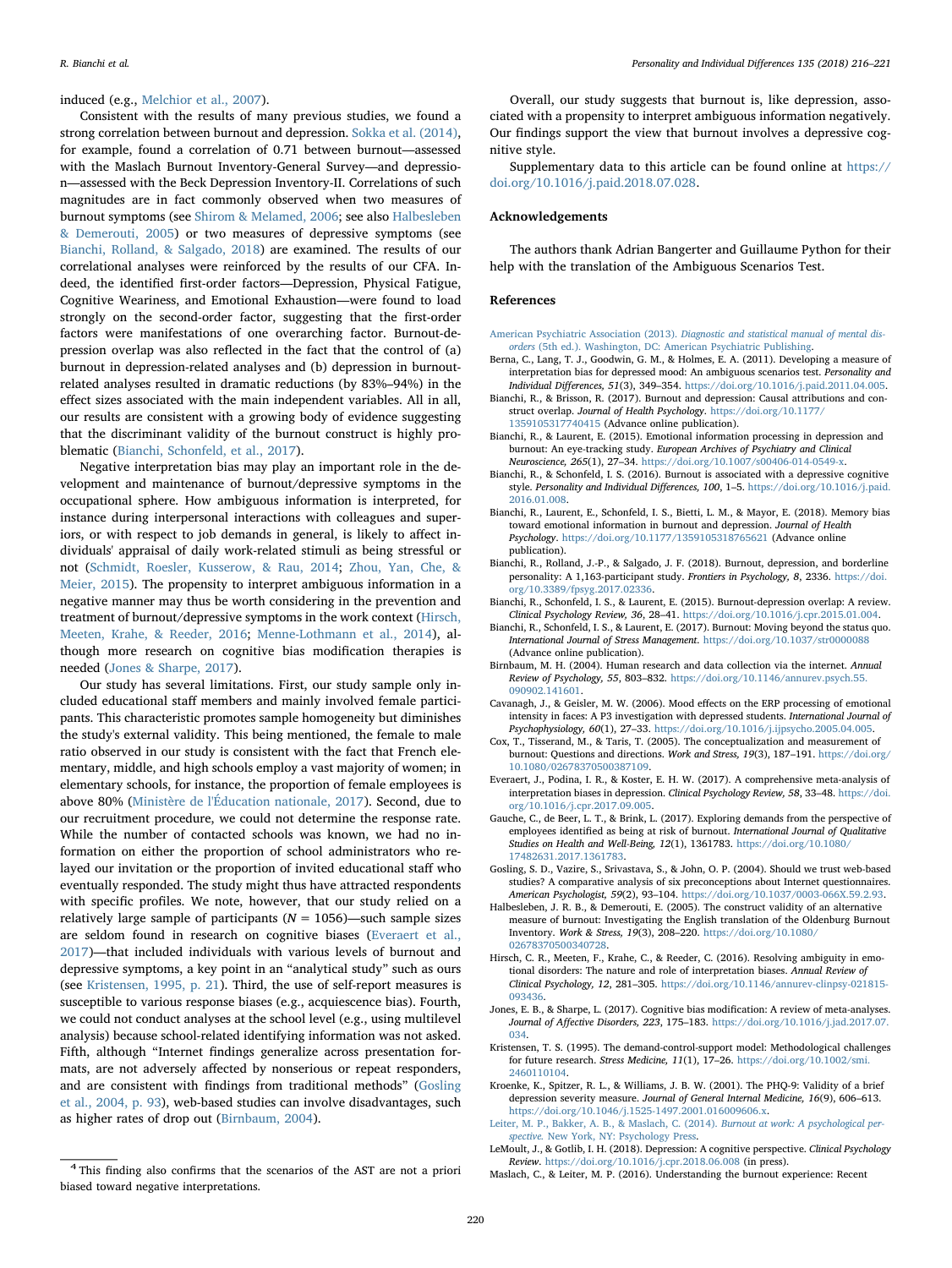#### induced (e.g., [Melchior et al., 2007\)](#page-5-8).

Consistent with the results of many previous studies, we found a strong correlation between burnout and depression. [Sokka et al. \(2014\)](#page-5-2), for example, found a correlation of 0.71 between burnout—assessed with the Maslach Burnout Inventory-General Survey—and depression—assessed with the Beck Depression Inventory-II. Correlations of such magnitudes are in fact commonly observed when two measures of burnout symptoms (see [Shirom & Melamed, 2006](#page-5-0); see also [Halbesleben](#page-4-20) [& Demerouti, 2005](#page-4-20)) or two measures of depressive symptoms (see [Bianchi, Rolland, & Salgado, 2018\)](#page-4-21) are examined. The results of our correlational analyses were reinforced by the results of our CFA. Indeed, the identified first-order factors—Depression, Physical Fatigue, Cognitive Weariness, and Emotional Exhaustion—were found to load strongly on the second-order factor, suggesting that the first-order factors were manifestations of one overarching factor. Burnout-depression overlap was also reflected in the fact that the control of (a) burnout in depression-related analyses and (b) depression in burnoutrelated analyses resulted in dramatic reductions (by 83%–94%) in the effect sizes associated with the main independent variables. All in all, our results are consistent with a growing body of evidence suggesting that the discriminant validity of the burnout construct is highly problematic ([Bianchi, Schonfeld, et al., 2017](#page-4-1)).

Negative interpretation bias may play an important role in the development and maintenance of burnout/depressive symptoms in the occupational sphere. How ambiguous information is interpreted, for instance during interpersonal interactions with colleagues and superiors, or with respect to job demands in general, is likely to affect individuals' appraisal of daily work-related stimuli as being stressful or not [\(Schmidt, Roesler, Kusserow, & Rau, 2014](#page-5-9); [Zhou, Yan, Che, &](#page-5-10) [Meier, 2015\)](#page-5-10). The propensity to interpret ambiguous information in a negative manner may thus be worth considering in the prevention and treatment of burnout/depressive symptoms in the work context ([Hirsch,](#page-4-22) [Meeten, Krahe, & Reeder, 2016;](#page-4-22) [Menne-Lothmann et al., 2014](#page-5-7)), although more research on cognitive bias modification therapies is needed [\(Jones & Sharpe, 2017](#page-4-6)).

Our study has several limitations. First, our study sample only included educational staff members and mainly involved female participants. This characteristic promotes sample homogeneity but diminishes the study's external validity. This being mentioned, the female to male ratio observed in our study is consistent with the fact that French elementary, middle, and high schools employ a vast majority of women; in elementary schools, for instance, the proportion of female employees is above 80% ([Ministère de l'Éducation nationale, 2017\)](#page-5-11). Second, due to our recruitment procedure, we could not determine the response rate. While the number of contacted schools was known, we had no information on either the proportion of school administrators who relayed our invitation or the proportion of invited educational staff who eventually responded. The study might thus have attracted respondents with specific profiles. We note, however, that our study relied on a relatively large sample of participants ( $N = 1056$ )—such sample sizes are seldom found in research on cognitive biases [\(Everaert et al.,](#page-4-11) [2017\)](#page-4-11)—that included individuals with various levels of burnout and depressive symptoms, a key point in an "analytical study" such as ours (see [Kristensen, 1995, p. 21\)](#page-4-23). Third, the use of self-report measures is susceptible to various response biases (e.g., acquiescence bias). Fourth, we could not conduct analyses at the school level (e.g., using multilevel analysis) because school-related identifying information was not asked. Fifth, although "Internet findings generalize across presentation formats, are not adversely affected by nonserious or repeat responders, and are consistent with findings from traditional methods" [\(Gosling](#page-4-13) [et al., 2004, p. 93\)](#page-4-13), web-based studies can involve disadvantages, such as higher rates of drop out [\(Birnbaum, 2004\)](#page-4-12).

Overall, our study suggests that burnout is, like depression, associated with a propensity to interpret ambiguous information negatively. Our findings support the view that burnout involves a depressive cognitive style.

Supplementary data to this article can be found online at [https://](https://doi.org/10.1016/j.paid.2018.07.028) [doi.org/10.1016/j.paid.2018.07.028.](https://doi.org/10.1016/j.paid.2018.07.028)

## Acknowledgements

The authors thank Adrian Bangerter and Guillaume Python for their help with the translation of the Ambiguous Scenarios Test.

#### References

- <span id="page-4-0"></span>American Psychiatric Association (2013). [Diagnostic and statistical manual of mental dis](http://refhub.elsevier.com/S0191-8869(18)30423-9/rf0005)orders [\(5th ed.\). Washington, DC: American Psychiatric Publishing.](http://refhub.elsevier.com/S0191-8869(18)30423-9/rf0005)
- <span id="page-4-15"></span>Berna, C., Lang, T. J., Goodwin, G. M., & Holmes, E. A. (2011). Developing a measure of interpretation bias for depressed mood: An ambiguous scenarios test. Personality and Individual Differences, 51(3), 349–354. <https://doi.org/10.1016/j.paid.2011.04.005>.
- <span id="page-4-18"></span>Bianchi, R., & Brisson, R. (2017). Burnout and depression: Causal attributions and construct overlap. Journal of Health Psychology. [https://doi.org/10.1177/](https://doi.org/10.1177/1359105317740415)
- 1359105317740415 [\(Advance online publication\).](https://doi.org/10.1177/1359105317740415)
- <span id="page-4-8"></span>Bianchi, R., & Laurent, E. (2015). Emotional information processing in depression and burnout: An eye-tracking study. European Archives of Psychiatry and Clinical Neuroscience, 265(1), 27–34. <https://doi.org/10.1007/s00406-014-0549-x>.
- <span id="page-4-9"></span>Bianchi, R., & Schonfeld, I. S. (2016). Burnout is associated with a depressive cognitive style. Personality and Individual Differences, 100, 1–5. [https://doi.org/10.1016/j.paid.](https://doi.org/10.1016/j.paid.2016.01.008) [2016.01.008](https://doi.org/10.1016/j.paid.2016.01.008).
- <span id="page-4-10"></span>Bianchi, R., Laurent, E., Schonfeld, I. S., Bietti, L. M., & Mayor, E. (2018). Memory bias toward emotional information in burnout and depression. Journal of Health Psychology. <https://doi.org/10.1177/1359105318765621> (Advance online [publication\).](https://doi.org/10.1177/1359105318765621)
- <span id="page-4-21"></span>Bianchi, R., Rolland, J.-P., & Salgado, J. F. (2018). Burnout, depression, and borderline personality: A 1,163-participant study. Frontiers in Psychology, 8, 2336. [https://doi.](https://doi.org/10.3389/fpsyg.2017.02336) [org/10.3389/fpsyg.2017.02336](https://doi.org/10.3389/fpsyg.2017.02336).
- <span id="page-4-5"></span>Bianchi, R., Schonfeld, I. S., & Laurent, E. (2015). Burnout-depression overlap: A review. Clinical Psychology Review, 36, 28–41. [https://doi.org/10.1016/j.cpr.2015.01.004.](https://doi.org/10.1016/j.cpr.2015.01.004)
- <span id="page-4-1"></span>Bianchi, R., Schonfeld, I. S., & Laurent, E. (2017). Burnout: Moving beyond the status quo. International Journal of Stress Management. <https://doi.org/10.1037/str0000088> [\(Advance online publication\)](https://doi.org/10.1037/str0000088).
- <span id="page-4-12"></span>Birnbaum, M. H. (2004). Human research and data collection via the internet. Annual Review of Psychology, 55, 803–832. [https://doi.org/10.1146/annurev.psych.55.](https://doi.org/10.1146/annurev.psych.55.090902.141601) [090902.141601](https://doi.org/10.1146/annurev.psych.55.090902.141601).
- <span id="page-4-16"></span>Cavanagh, J., & Geisler, M. W. (2006). Mood effects on the ERP processing of emotional intensity in faces: A P3 investigation with depressed students. International Journal of Psychophysiology, 60(1), 27–33. <https://doi.org/10.1016/j.ijpsycho.2005.04.005>.
- <span id="page-4-4"></span>Cox, T., Tisserand, M., & Taris, T. (2005). The conceptualization and measurement of burnout: Questions and directions. Work and Stress, 19(3), 187–191. [https://doi.org/](https://doi.org/10.1080/02678370500387109) [10.1080/02678370500387109](https://doi.org/10.1080/02678370500387109).
- <span id="page-4-11"></span>Everaert, J., Podina, I. R., & Koster, E. H. W. (2017). A comprehensive meta-analysis of interpretation biases in depression. Clinical Psychology Review, 58, 33–48. [https://doi.](https://doi.org/10.1016/j.cpr.2017.09.005) [org/10.1016/j.cpr.2017.09.005.](https://doi.org/10.1016/j.cpr.2017.09.005)
- <span id="page-4-19"></span>Gauche, C., de Beer, L. T., & Brink, L. (2017). Exploring demands from the perspective of employees identified as being at risk of burnout. International Journal of Qualitative Studies on Health and Well-Being, 12(1), 1361783. [https://doi.org/10.1080/](https://doi.org/10.1080/17482631.2017.1361783) [17482631.2017.1361783](https://doi.org/10.1080/17482631.2017.1361783).
- <span id="page-4-13"></span>Gosling, S. D., Vazire, S., Srivastava, S., & John, O. P. (2004). Should we trust web-based studies? A comparative analysis of six preconceptions about Internet questionnaires. American Psychologist, 59(2), 93–104. <https://doi.org/10.1037/0003-066X.59.2.93>.
- <span id="page-4-20"></span>Halbesleben, J. R. B., & Demerouti, E. (2005). The construct validity of an alternative measure of burnout: Investigating the English translation of the Oldenburg Burnout Inventory. Work & Stress, 19(3), 208–220. [https://doi.org/10.1080/](https://doi.org/10.1080/02678370500340728) [02678370500340728.](https://doi.org/10.1080/02678370500340728)
- <span id="page-4-22"></span>Hirsch, C. R., Meeten, F., Krahe, C., & Reeder, C. (2016). Resolving ambiguity in emotional disorders: The nature and role of interpretation biases. Annual Review of Clinical Psychology, 12, 281–305. [https://doi.org/10.1146/annurev-clinpsy-021815-](https://doi.org/10.1146/annurev-clinpsy-021815-093436) [093436](https://doi.org/10.1146/annurev-clinpsy-021815-093436).
- <span id="page-4-6"></span>Jones, E. B., & Sharpe, L. (2017). Cognitive bias modification: A review of meta-analyses. Journal of Affective Disorders, 223, 175–183. [https://doi.org/10.1016/j.jad.2017.07.](https://doi.org/10.1016/j.jad.2017.07.034) [034](https://doi.org/10.1016/j.jad.2017.07.034).
- <span id="page-4-23"></span>Kristensen, T. S. (1995). The demand-control-support model: Methodological challenges for future research. Stress Medicine, 11(1), 17–26. [https://doi.org/10.1002/smi.](https://doi.org/10.1002/smi.2460110104) [2460110104](https://doi.org/10.1002/smi.2460110104).
- <span id="page-4-14"></span>Kroenke, K., Spitzer, R. L., & Williams, J. B. W. (2001). The PHQ-9: Validity of a brief depression severity measure. Journal of General Internal Medicine, 16(9), 606–613. <https://doi.org/10.1046/j.1525-1497.2001.016009606.x>.
- <span id="page-4-3"></span>[Leiter, M. P., Bakker, A. B., & Maslach, C. \(2014\).](http://refhub.elsevier.com/S0191-8869(18)30423-9/rf0095) Burnout at work: A psychological perspective. [New York, NY: Psychology Press.](http://refhub.elsevier.com/S0191-8869(18)30423-9/rf0095)
- <span id="page-4-7"></span>LeMoult, J., & Gotlib, I. H. (2018). Depression: A cognitive perspective. Clinical Psychology Review. <https://doi.org/10.1016/j.cpr.2018.06.008> (in press).<br>Maslach, C., & Leiter, M. P. (2016). Understanding the burnout experience: Recent
- <span id="page-4-2"></span>

<span id="page-4-17"></span><sup>&</sup>lt;sup>4</sup> This finding also confirms that the scenarios of the AST are not a priori biased toward negative interpretations.